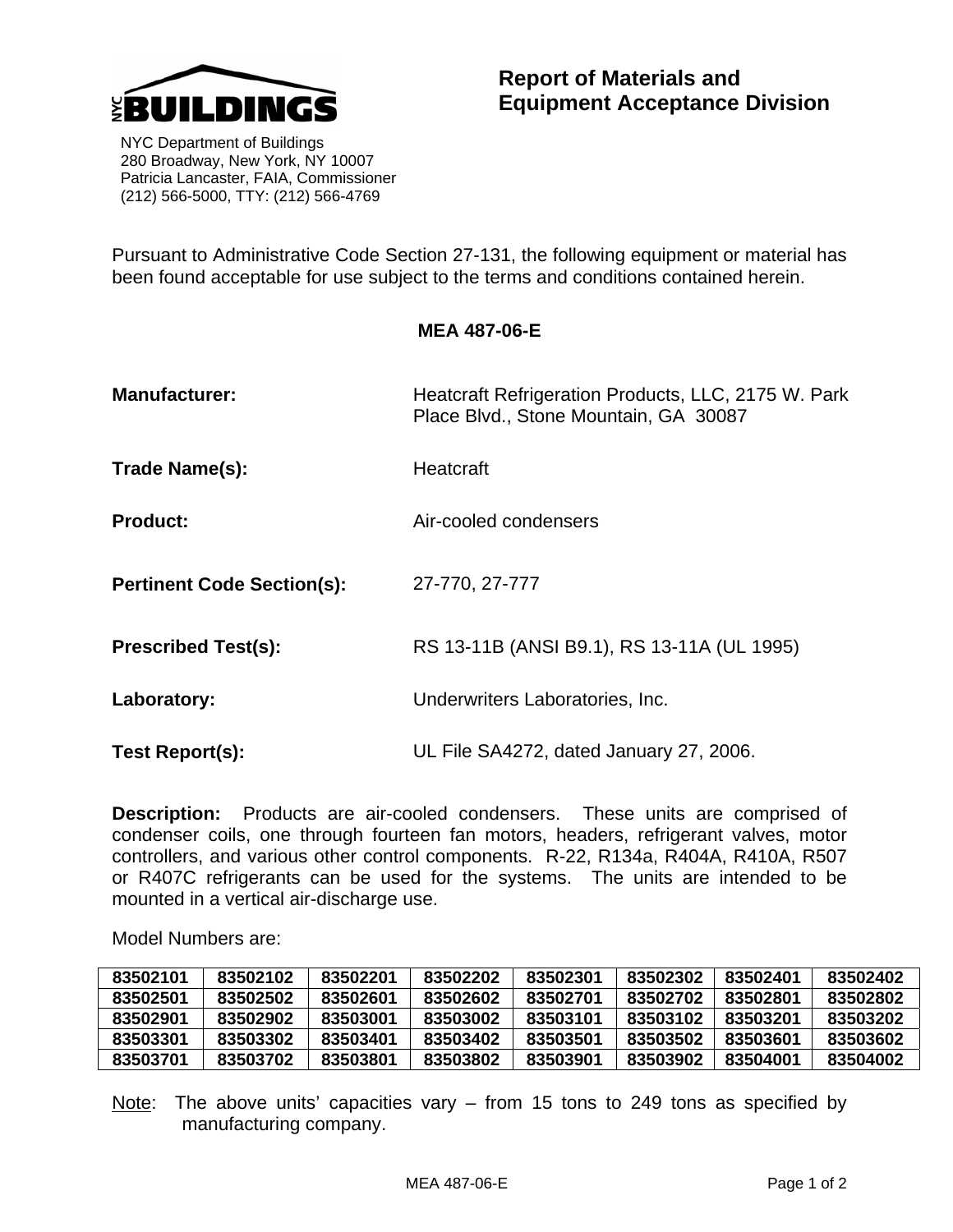

 NYC Department of Buildings 280 Broadway, New York, NY 10007 Patricia Lancaster, FAIA, Commissioner (212) 566-5000, TTY: (212) 566-4769

Pursuant to Administrative Code Section 27-131, the following equipment or material has been found acceptable for use subject to the terms and conditions contained herein.

**MEA 487-06-E** 

| <b>Manufacturer:</b>              | Heatcraft Refrigeration Products, LLC, 2175 W. Park<br>Place Blvd., Stone Mountain, GA 30087 |  |
|-----------------------------------|----------------------------------------------------------------------------------------------|--|
| Trade Name(s):                    | Heatcraft                                                                                    |  |
| <b>Product:</b>                   | Air-cooled condensers                                                                        |  |
| <b>Pertinent Code Section(s):</b> | 27-770, 27-777                                                                               |  |
| <b>Prescribed Test(s):</b>        | RS 13-11B (ANSI B9.1), RS 13-11A (UL 1995)                                                   |  |
| Laboratory:                       | Underwriters Laboratories, Inc.                                                              |  |
| Test Report(s):                   | UL File SA4272, dated January 27, 2006.                                                      |  |

**Description:** Products are air-cooled condensers. These units are comprised of condenser coils, one through fourteen fan motors, headers, refrigerant valves, motor controllers, and various other control components. R-22, R134a, R404A, R410A, R507 or R407C refrigerants can be used for the systems. The units are intended to be mounted in a vertical air-discharge use.

Model Numbers are:

| 83502101 | 83502102 | 83502201 | 83502202 | 83502301 | 83502302 | 83502401 | 83502402 |
|----------|----------|----------|----------|----------|----------|----------|----------|
| 83502501 | 83502502 | 83502601 | 83502602 | 83502701 | 83502702 | 83502801 | 83502802 |
| 83502901 | 83502902 | 83503001 | 83503002 | 83503101 | 83503102 | 83503201 | 83503202 |
| 83503301 | 83503302 | 83503401 | 83503402 | 83503501 | 83503502 | 83503601 | 83503602 |
| 83503701 | 83503702 | 83503801 | 83503802 | 83503901 | 83503902 | 83504001 | 83504002 |

Note: The above units' capacities vary – from 15 tons to 249 tons as specified by manufacturing company.